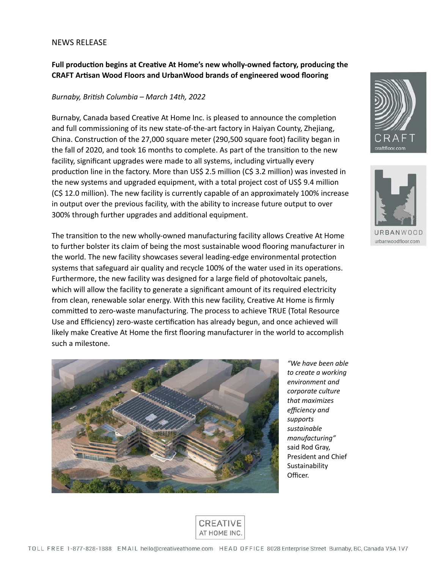## NEWS RELEASE

## **Full production begins at Creative At Home's new wholly-owned factory, producing the CRAFT Artisan Wood Floors and UrbanWood brands of engineered wood flooring**

## *Burnaby, British Columbia – March 14th, 2022*

Burnaby, Canada based Creative At Home Inc. is pleased to announce the completion and full commissioning of its new state-of-the-art factory in Haiyan County, Zhejiang, China. Construction of the 27,000 square meter (290,500 square foot) facility began in the fall of 2020, and took 16 months to complete. As part of the transition to the new facility, significant upgrades were made to all systems, including virtually every production line in the factory. More than US\$ 2.5 million (C\$ 3.2 million) was invested in the new systems and upgraded equipment, with a total project cost of US\$ 9.4 million (C\$ 12.0 million). The new facility is currently capable of an approximately 100% increase in output over the previous facility, with the ability to increase future output to over 300% through further upgrades and additional equipment.

The transition to the new wholly-owned manufacturing facility allows Creative At Home to further bolster its claim of being the most sustainable wood flooring manufacturer in the world. The new facility showcases several leading-edge environmental protection systems that safeguard air quality and recycle 100% of the water used in its operations. Furthermore, the new facility was designed for a large field of photovoltaic panels, which will allow the facility to generate a significant amount of its required electricity from clean, renewable solar energy. With this new facility, Creative At Home is firmly committed to zero-waste manufacturing. The process to achieve TRUE (Total Resource Use and Efficiency) zero-waste certification has already begun, and once achieved will likely make Creative At Home the first flooring manufacturer in the world to accomplish such a milestone.



*to create a working environment and corporate culture that maximizes efficiency and supports sustainable manufacturing"*  said Rod Gray, President and Chief Sustainability Officer.





urbanwoodfloor.com